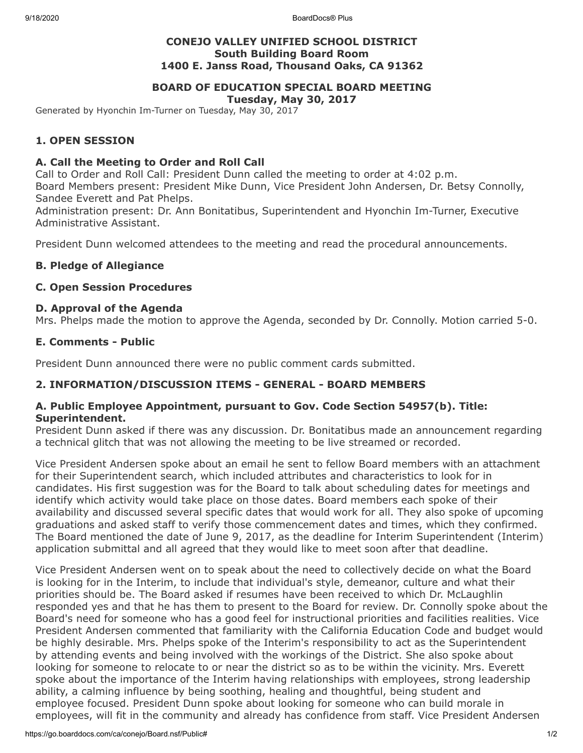9/18/2020 BoardDocs® Plus

# **CONEJO VALLEY UNIFIED SCHOOL DISTRICT South Building Board Room 1400 E. Janss Road, Thousand Oaks, CA 91362**

# **BOARD OF EDUCATION SPECIAL BOARD MEETING**

**Tuesday, May 30, 2017**

Generated by Hyonchin Im-Turner on Tuesday, May 30, 2017

# **1. OPEN SESSION**

## **A. Call the Meeting to Order and Roll Call**

Call to Order and Roll Call: President Dunn called the meeting to order at 4:02 p.m. Board Members present: President Mike Dunn, Vice President John Andersen, Dr. Betsy Connolly, Sandee Everett and Pat Phelps.

Administration present: Dr. Ann Bonitatibus, Superintendent and Hyonchin Im-Turner, Executive Administrative Assistant.

President Dunn welcomed attendees to the meeting and read the procedural announcements.

## **B. Pledge of Allegiance**

### **C. Open Session Procedures**

### **D. Approval of the Agenda**

Mrs. Phelps made the motion to approve the Agenda, seconded by Dr. Connolly. Motion carried 5-0.

### **E. Comments - Public**

President Dunn announced there were no public comment cards submitted.

# **2. INFORMATION/DISCUSSION ITEMS - GENERAL - BOARD MEMBERS**

### **A. Public Employee Appointment, pursuant to Gov. Code Section 54957(b). Title: Superintendent.**

President Dunn asked if there was any discussion. Dr. Bonitatibus made an announcement regarding a technical glitch that was not allowing the meeting to be live streamed or recorded.

Vice President Andersen spoke about an email he sent to fellow Board members with an attachment for their Superintendent search, which included attributes and characteristics to look for in candidates. His first suggestion was for the Board to talk about scheduling dates for meetings and identify which activity would take place on those dates. Board members each spoke of their availability and discussed several specific dates that would work for all. They also spoke of upcoming graduations and asked staff to verify those commencement dates and times, which they confirmed. The Board mentioned the date of June 9, 2017, as the deadline for Interim Superintendent (Interim) application submittal and all agreed that they would like to meet soon after that deadline.

Vice President Andersen went on to speak about the need to collectively decide on what the Board is looking for in the Interim, to include that individual's style, demeanor, culture and what their priorities should be. The Board asked if resumes have been received to which Dr. McLaughlin responded yes and that he has them to present to the Board for review. Dr. Connolly spoke about the Board's need for someone who has a good feel for instructional priorities and facilities realities. Vice President Andersen commented that familiarity with the California Education Code and budget would be highly desirable. Mrs. Phelps spoke of the Interim's responsibility to act as the Superintendent by attending events and being involved with the workings of the District. She also spoke about looking for someone to relocate to or near the district so as to be within the vicinity. Mrs. Everett spoke about the importance of the Interim having relationships with employees, strong leadership ability, a calming influence by being soothing, healing and thoughtful, being student and employee focused. President Dunn spoke about looking for someone who can build morale in employees, will fit in the community and already has confidence from staff. Vice President Andersen